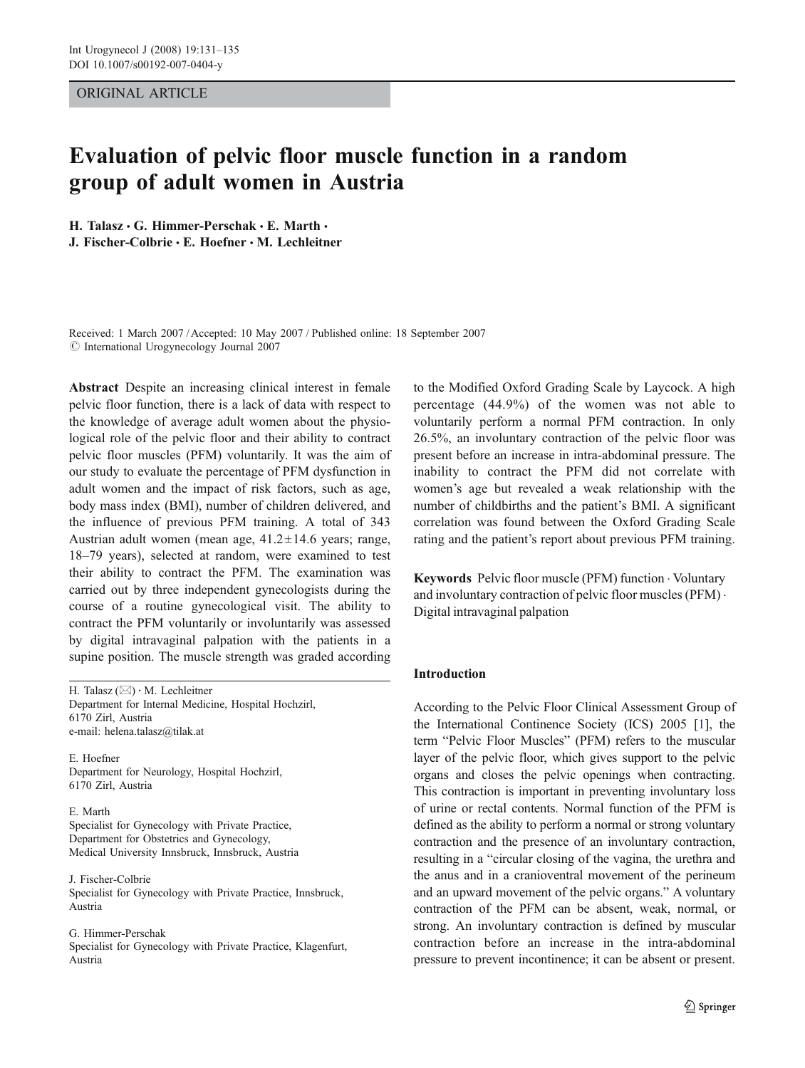# ORIGINAL ARTICLE

# Evaluation of pelvic floor muscle function in a random group of adult women in Austria

H. Talasz  $\cdot$  G. Himmer-Perschak  $\cdot$  E. Marth  $\cdot$ J. Fischer-Colbrie  $\cdot$  E. Hoefner  $\cdot$  M. Lechleitner

Received: 1 March 2007 /Accepted: 10 May 2007 / Published online: 18 September 2007  $\odot$  International Urogynecology Journal 2007

Abstract Despite an increasing clinical interest in female pelvic floor function, there is a lack of data with respect to the knowledge of average adult women about the physiological role of the pelvic floor and their ability to contract pelvic floor muscles (PFM) voluntarily. It was the aim of our study to evaluate the percentage of PFM dysfunction in adult women and the impact of risk factors, such as age, body mass index (BMI), number of children delivered, and the influence of previous PFM training. A total of 343 Austrian adult women (mean age,  $41.2 \pm 14.6$  years; range, 18–79 years), selected at random, were examined to test their ability to contract the PFM. The examination was carried out by three independent gynecologists during the course of a routine gynecological visit. The ability to contract the PFM voluntarily or involuntarily was assessed by digital intravaginal palpation with the patients in a supine position. The muscle strength was graded according

H. Talasz (*\**) *:* M. Lechleitner Department for Internal Medicine, Hospital Hochzirl, 6170 Zirl, Austria e-mail: helena.talasz@tilak.at

E. Hoefner Department for Neurology, Hospital Hochzirl, 6170 Zirl, Austria

E. Marth Specialist for Gynecology with Private Practice, Department for Obstetrics and Gynecology, Medical University Innsbruck, Innsbruck, Austria

J. Fischer-Colbrie Specialist for Gynecology with Private Practice, Innsbruck, Austria

G. Himmer-Perschak Specialist for Gynecology with Private Practice, Klagenfurt, Austria

to the Modified Oxford Grading Scale by Laycock. A high percentage (44.9%) of the women was not able to voluntarily perform a normal PFM contraction. In only 26.5%, an involuntary contraction of the pelvic floor was present before an increase in intra-abdominal pressure. The inability to contract the PFM did not correlate with women's age but revealed a weak relationship with the number of childbirths and the patient's BMI. A significant correlation was found between the Oxford Grading Scale rating and the patient's report about previous PFM training.

Keywords Pelvic floor muscle (PFM) function . Voluntary and involuntary contraction of pelvic floor muscles (PFM) . Digital intravaginal palpation

# Introduction

According to the Pelvic Floor Clinical Assessment Group of the International Continence Society (ICS) 2005 [[1\]](#page-4-0), the term "Pelvic Floor Muscles" (PFM) refers to the muscular layer of the pelvic floor, which gives support to the pelvic organs and closes the pelvic openings when contracting. This contraction is important in preventing involuntary loss of urine or rectal contents. Normal function of the PFM is defined as the ability to perform a normal or strong voluntary contraction and the presence of an involuntary contraction, resulting in a "circular closing of the vagina, the urethra and the anus and in a cranioventral movement of the perineum and an upward movement of the pelvic organs." A voluntary contraction of the PFM can be absent, weak, normal, or strong. An involuntary contraction is defined by muscular contraction before an increase in the intra-abdominal pressure to prevent incontinence; it can be absent or present.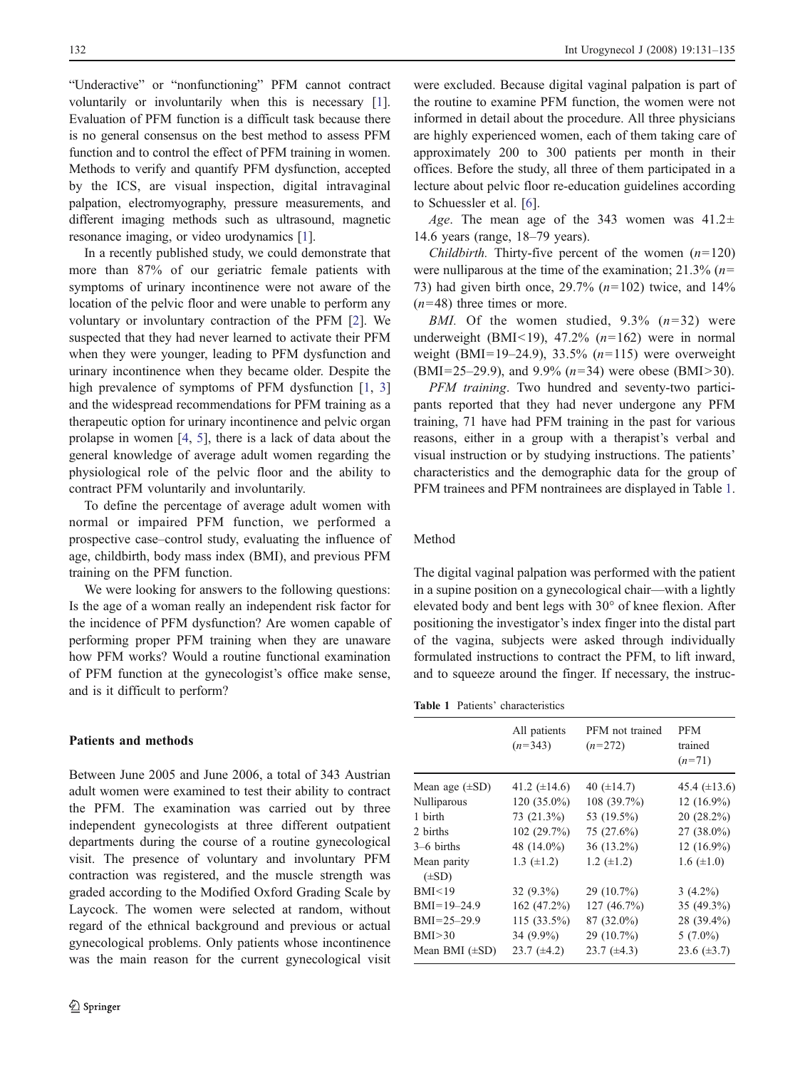"Underactive" or "nonfunctioning" PFM cannot contract voluntarily or involuntarily when this is necessary [[1](#page-4-0)]. Evaluation of PFM function is a difficult task because there is no general consensus on the best method to assess PFM function and to control the effect of PFM training in women. Methods to verify and quantify PFM dysfunction, accepted by the ICS, are visual inspection, digital intravaginal palpation, electromyography, pressure measurements, and different imaging methods such as ultrasound, magnetic resonance imaging, or video urodynamics [\[1](#page-4-0)].

In a recently published study, we could demonstrate that more than 87% of our geriatric female patients with symptoms of urinary incontinence were not aware of the location of the pelvic floor and were unable to perform any voluntary or involuntary contraction of the PFM [\[2](#page-4-0)]. We suspected that they had never learned to activate their PFM when they were younger, leading to PFM dysfunction and urinary incontinence when they became older. Despite the high prevalence of symptoms of PFM dysfunction [\[1](#page-4-0), [3\]](#page-4-0) and the widespread recommendations for PFM training as a therapeutic option for urinary incontinence and pelvic organ prolapse in women [[4,](#page-4-0) [5\]](#page-4-0), there is a lack of data about the general knowledge of average adult women regarding the physiological role of the pelvic floor and the ability to contract PFM voluntarily and involuntarily.

To define the percentage of average adult women with normal or impaired PFM function, we performed a prospective case–control study, evaluating the influence of age, childbirth, body mass index (BMI), and previous PFM training on the PFM function.

We were looking for answers to the following questions: Is the age of a woman really an independent risk factor for the incidence of PFM dysfunction? Are women capable of performing proper PFM training when they are unaware how PFM works? Would a routine functional examination of PFM function at the gynecologist's office make sense, and is it difficult to perform?

## Patients and methods

Between June 2005 and June 2006, a total of 343 Austrian adult women were examined to test their ability to contract the PFM. The examination was carried out by three independent gynecologists at three different outpatient departments during the course of a routine gynecological visit. The presence of voluntary and involuntary PFM contraction was registered, and the muscle strength was graded according to the Modified Oxford Grading Scale by Laycock. The women were selected at random, without regard of the ethnical background and previous or actual gynecological problems. Only patients whose incontinence was the main reason for the current gynecological visit

were excluded. Because digital vaginal palpation is part of the routine to examine PFM function, the women were not informed in detail about the procedure. All three physicians are highly experienced women, each of them taking care of approximately 200 to 300 patients per month in their offices. Before the study, all three of them participated in a lecture about pelvic floor re-education guidelines according to Schuessler et al. [\[6](#page-4-0)].

Age. The mean age of the 343 women was  $41.2 \pm$ 14.6 years (range, 18–79 years).

*Childbirth.* Thirty-five percent of the women  $(n=120)$ were nulliparous at the time of the examination;  $21.3\%$  ( $n=$ 73) had given birth once,  $29.7\%$  ( $n=102$ ) twice, and  $14\%$  $(n=48)$  three times or more.

*BMI.* Of the women studied,  $9.3\%$   $(n=32)$  were underweight (BMI<19), 47.2%  $(n=162)$  were in normal weight (BMI=19–24.9), 33.5%  $(n=115)$  were overweight (BMI=25–29.9), and 9.9% (n=34) were obese (BMI>30).

PFM training. Two hundred and seventy-two participants reported that they had never undergone any PFM training, 71 have had PFM training in the past for various reasons, either in a group with a therapist's verbal and visual instruction or by studying instructions. The patients' characteristics and the demographic data for the group of PFM trainees and PFM nontrainees are displayed in Table 1.

### Method

The digital vaginal palpation was performed with the patient in a supine position on a gynecological chair—with a lightly elevated body and bent legs with 30° of knee flexion. After positioning the investigator's index finger into the distal part of the vagina, subjects were asked through individually formulated instructions to contract the PFM, to lift inward, and to squeeze around the finger. If necessary, the instruc-

Table 1 Patients' characteristics

|                                     | All patients<br>$(n=343)$               | PFM not trained<br>$(n=272)$           | <b>PFM</b><br>trained<br>$(n=71)$            |
|-------------------------------------|-----------------------------------------|----------------------------------------|----------------------------------------------|
| Mean age $(\pm SD)$<br>Nulliparous  | 41.2 $(\pm 14.6)$<br>$120(35.0\%)$      | 40 $(\pm 14.7)$<br>108 (39.7%)         | 45.4 $(\pm 13.6)$<br>$12(16.9\%)$            |
| 1 birth<br>2 births<br>$3-6$ births | 73 (21.3%)<br>102 (29.7%)<br>48 (14.0%) | 53 (19.5%)<br>75 (27.6%)<br>36 (13.2%) | $20(28.2\%)$<br>$27(38.0\%)$<br>$12(16.9\%)$ |
| Mean parity<br>$(\pm SD)$           | 1.3 $(\pm 1.2)$                         | 1.2 $(\pm 1.2)$                        | 1.6 $(\pm 1.0)$                              |
| BMI < 19                            | $32(9.3\%)$                             | 29 (10.7%)                             | $3(4.2\%)$                                   |
| $BMI=19-24.9$                       | 162 (47.2%)                             | 127 (46.7%)                            | 35 (49.3%)                                   |
| $BMI = 25 - 29.9$                   | 115 (33.5%)                             | 87 (32.0%)                             | 28 (39.4%)                                   |
| BMI > 30                            | 34 (9.9%)                               | 29 (10.7%)                             | $5(7.0\%)$                                   |
| Mean BMI $(\pm SD)$                 | 23.7 $(\pm 4.2)$                        | 23.7 $(\pm 4.3)$                       | 23.6 $(\pm 3.7)$                             |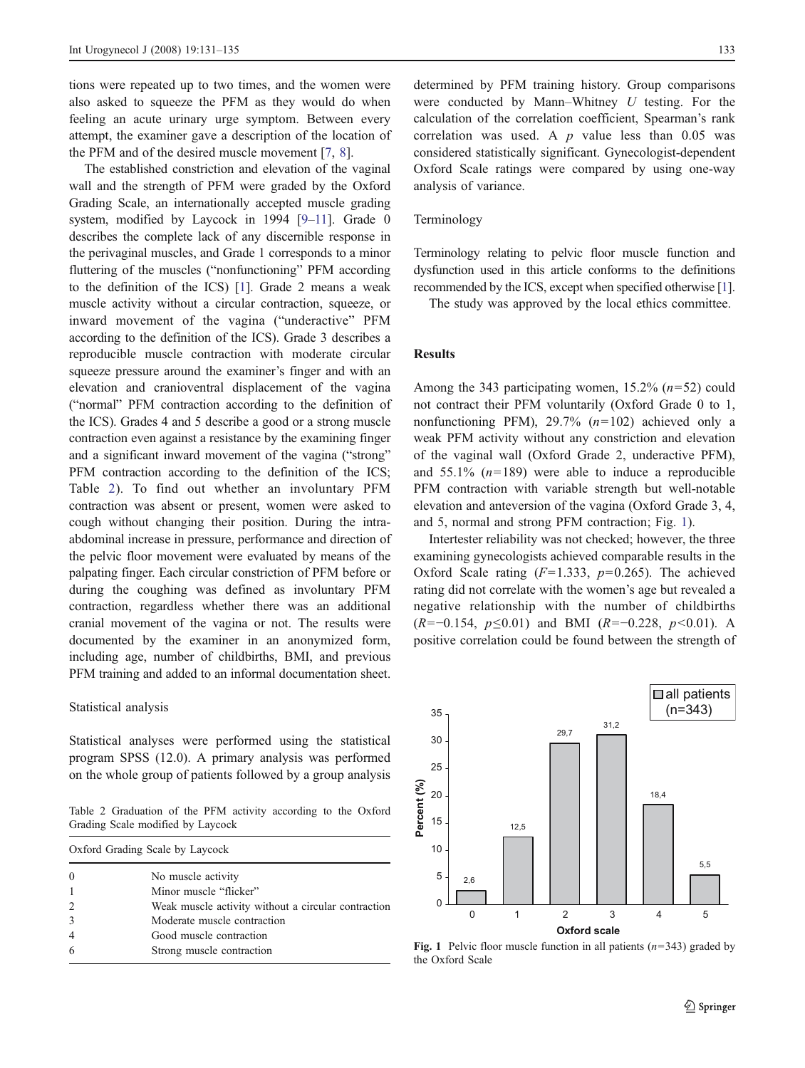tions were repeated up to two times, and the women were also asked to squeeze the PFM as they would do when feeling an acute urinary urge symptom. Between every attempt, the examiner gave a description of the location of the PFM and of the desired muscle movement [[7,](#page-4-0) [8](#page-4-0)].

The established constriction and elevation of the vaginal wall and the strength of PFM were graded by the Oxford Grading Scale, an internationally accepted muscle grading system, modified by Laycock in 1994 [\[9](#page-4-0)–[11](#page-4-0)]. Grade 0 describes the complete lack of any discernible response in the perivaginal muscles, and Grade 1 corresponds to a minor fluttering of the muscles ("nonfunctioning" PFM according to the definition of the ICS) [\[1\]](#page-4-0). Grade 2 means a weak muscle activity without a circular contraction, squeeze, or inward movement of the vagina ("underactive" PFM according to the definition of the ICS). Grade 3 describes a reproducible muscle contraction with moderate circular squeeze pressure around the examiner's finger and with an elevation and cranioventral displacement of the vagina ("normal" PFM contraction according to the definition of the ICS). Grades 4 and 5 describe a good or a strong muscle contraction even against a resistance by the examining finger and a significant inward movement of the vagina ("strong" PFM contraction according to the definition of the ICS; Table 2). To find out whether an involuntary PFM contraction was absent or present, women were asked to cough without changing their position. During the intraabdominal increase in pressure, performance and direction of the pelvic floor movement were evaluated by means of the palpating finger. Each circular constriction of PFM before or during the coughing was defined as involuntary PFM contraction, regardless whether there was an additional cranial movement of the vagina or not. The results were documented by the examiner in an anonymized form, including age, number of childbirths, BMI, and previous PFM training and added to an informal documentation sheet.

#### Statistical analysis

Statistical analyses were performed using the statistical program SPSS (12.0). A primary analysis was performed on the whole group of patients followed by a group analysis

Table 2 Graduation of the PFM activity according to the Oxford Grading Scale modified by Laycock

| Oxford Grading Scale by Laycock |                                                     |  |
|---------------------------------|-----------------------------------------------------|--|
| $\Omega$                        | No muscle activity                                  |  |
| $\mathbf{1}$                    | Minor muscle "flicker"                              |  |
| $\overline{c}$                  | Weak muscle activity without a circular contraction |  |
| 3                               | Moderate muscle contraction                         |  |
| $\overline{4}$                  | Good muscle contraction                             |  |
| 6                               | Strong muscle contraction                           |  |

determined by PFM training history. Group comparisons were conducted by Mann–Whitney  $U$  testing. For the calculation of the correlation coefficient, Spearman's rank correlation was used. A  $p$  value less than 0.05 was considered statistically significant. Gynecologist-dependent Oxford Scale ratings were compared by using one-way analysis of variance.

# Terminology

Terminology relating to pelvic floor muscle function and dysfunction used in this article conforms to the definitions recommended by the ICS, except when specified otherwise [\[1\]](#page-4-0).

The study was approved by the local ethics committee.

# Results

Among the 343 participating women, 15.2%  $(n=52)$  could not contract their PFM voluntarily (Oxford Grade 0 to 1, nonfunctioning PFM),  $29.7\%$  ( $n=102$ ) achieved only a weak PFM activity without any constriction and elevation of the vaginal wall (Oxford Grade 2, underactive PFM), and  $55.1\%$  ( $n=189$ ) were able to induce a reproducible PFM contraction with variable strength but well-notable elevation and anteversion of the vagina (Oxford Grade 3, 4, and 5, normal and strong PFM contraction; Fig. 1).

Intertester reliability was not checked; however, the three examining gynecologists achieved comparable results in the Oxford Scale rating  $(F=1.333, p=0.265)$ . The achieved rating did not correlate with the women's age but revealed a negative relationship with the number of childbirths  $(R=-0.154, p \le 0.01)$  and BMI  $(R=-0.228, p < 0.01)$ . A positive correlation could be found between the strength of



Fig. 1 Pelvic floor muscle function in all patients  $(n=343)$  graded by the Oxford Scale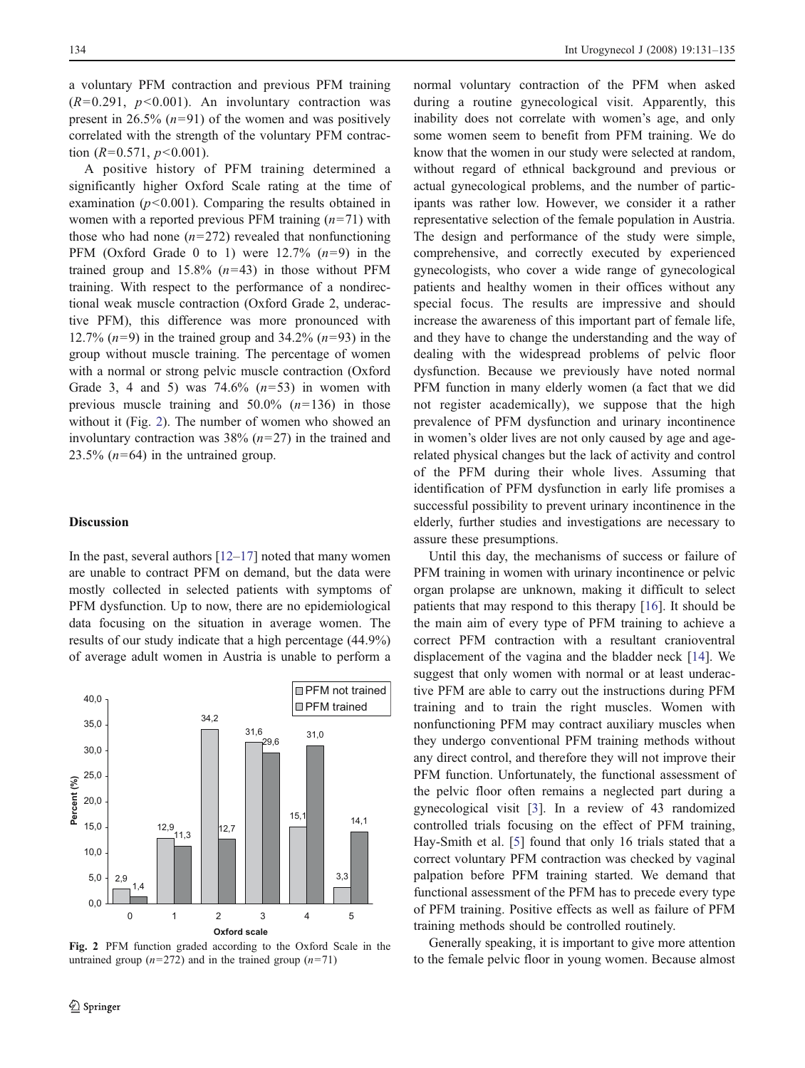a voluntary PFM contraction and previous PFM training  $(R=0.291, p<0.001)$ . An involuntary contraction was present in 26.5%  $(n=91)$  of the women and was positively correlated with the strength of the voluntary PFM contraction  $(R=0.571, p<0.001)$ .

A positive history of PFM training determined a significantly higher Oxford Scale rating at the time of examination  $(p<0.001)$ . Comparing the results obtained in women with a reported previous PFM training  $(n=71)$  with those who had none  $(n=272)$  revealed that nonfunctioning PFM (Oxford Grade 0 to 1) were  $12.7\%$   $(n=9)$  in the trained group and  $15.8\%$  ( $n=43$ ) in those without PFM training. With respect to the performance of a nondirectional weak muscle contraction (Oxford Grade 2, underactive PFM), this difference was more pronounced with 12.7%  $(n=9)$  in the trained group and 34.2%  $(n=93)$  in the group without muscle training. The percentage of women with a normal or strong pelvic muscle contraction (Oxford Grade 3, 4 and 5) was  $74.6\%$   $(n=53)$  in women with previous muscle training and  $50.0\%$  ( $n=136$ ) in those without it (Fig. 2). The number of women who showed an involuntary contraction was  $38\%$  ( $n=27$ ) in the trained and 23.5%  $(n=64)$  in the untrained group.

# **Discussion**

In the past, several authors  $[12-17]$  $[12-17]$  $[12-17]$  $[12-17]$  noted that many women are unable to contract PFM on demand, but the data were mostly collected in selected patients with symptoms of PFM dysfunction. Up to now, there are no epidemiological data focusing on the situation in average women. The results of our study indicate that a high percentage (44.9%) of average adult women in Austria is unable to perform a



Fig. 2 PFM function graded according to the Oxford Scale in the untrained group  $(n=272)$  and in the trained group  $(n=71)$ 

normal voluntary contraction of the PFM when asked during a routine gynecological visit. Apparently, this inability does not correlate with women's age, and only some women seem to benefit from PFM training. We do know that the women in our study were selected at random, without regard of ethnical background and previous or actual gynecological problems, and the number of participants was rather low. However, we consider it a rather representative selection of the female population in Austria. The design and performance of the study were simple, comprehensive, and correctly executed by experienced gynecologists, who cover a wide range of gynecological patients and healthy women in their offices without any special focus. The results are impressive and should increase the awareness of this important part of female life, and they have to change the understanding and the way of dealing with the widespread problems of pelvic floor dysfunction. Because we previously have noted normal PFM function in many elderly women (a fact that we did not register academically), we suppose that the high prevalence of PFM dysfunction and urinary incontinence in women's older lives are not only caused by age and agerelated physical changes but the lack of activity and control of the PFM during their whole lives. Assuming that identification of PFM dysfunction in early life promises a successful possibility to prevent urinary incontinence in the elderly, further studies and investigations are necessary to assure these presumptions.

Until this day, the mechanisms of success or failure of PFM training in women with urinary incontinence or pelvic organ prolapse are unknown, making it difficult to select patients that may respond to this therapy [\[16](#page-4-0)]. It should be the main aim of every type of PFM training to achieve a correct PFM contraction with a resultant cranioventral displacement of the vagina and the bladder neck [[14\]](#page-4-0). We suggest that only women with normal or at least underactive PFM are able to carry out the instructions during PFM training and to train the right muscles. Women with nonfunctioning PFM may contract auxiliary muscles when they undergo conventional PFM training methods without any direct control, and therefore they will not improve their PFM function. Unfortunately, the functional assessment of the pelvic floor often remains a neglected part during a gynecological visit [[3\]](#page-4-0). In a review of 43 randomized controlled trials focusing on the effect of PFM training, Hay-Smith et al. [\[5](#page-4-0)] found that only 16 trials stated that a correct voluntary PFM contraction was checked by vaginal palpation before PFM training started. We demand that functional assessment of the PFM has to precede every type of PFM training. Positive effects as well as failure of PFM training methods should be controlled routinely.

Generally speaking, it is important to give more attention to the female pelvic floor in young women. Because almost